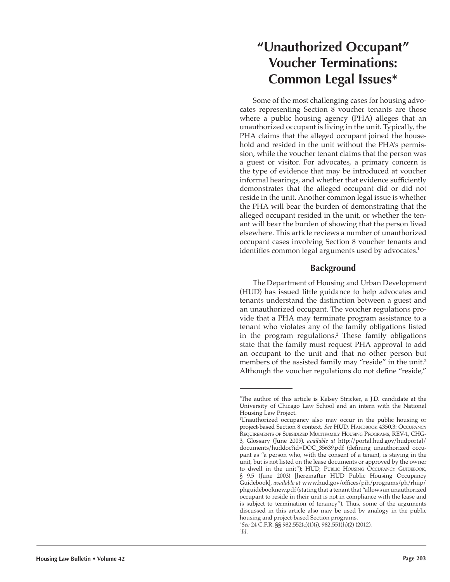# **"Unauthorized Occupant" Voucher Terminations: Common Legal Issues\***

Some of the most challenging cases for housing advocates representing Section 8 voucher tenants are those where a public housing agency (PHA) alleges that an unauthorized occupant is living in the unit. Typically, the PHA claims that the alleged occupant joined the household and resided in the unit without the PHA's permission, while the voucher tenant claims that the person was a guest or visitor. For advocates, a primary concern is the type of evidence that may be introduced at voucher informal hearings, and whether that evidence sufficiently demonstrates that the alleged occupant did or did not reside in the unit. Another common legal issue is whether the PHA will bear the burden of demonstrating that the alleged occupant resided in the unit, or whether the tenant will bear the burden of showing that the person lived elsewhere. This article reviews a number of unauthorized occupant cases involving Section 8 voucher tenants and identifies common legal arguments used by advocates.<sup>1</sup>

# **Background**

The Department of Housing and Urban Development (HUD) has issued little guidance to help advocates and tenants understand the distinction between a guest and an unauthorized occupant. The voucher regulations provide that a PHA may terminate program assistance to a tenant who violates any of the family obligations listed in the program regulations.<sup>2</sup> These family obligations state that the family must request PHA approval to add an occupant to the unit and that no other person but members of the assisted family may "reside" in the unit.<sup>3</sup> Although the voucher regulations do not define "reside,"

<sup>\*</sup> The author of this article is Kelsey Stricker, a J.D. candidate at the University of Chicago Law School and an intern with the National Housing Law Project.

<sup>1</sup> Unauthorized occupancy also may occur in the public housing or project-based Section 8 context. *See* HUD, Handbook 4350.3: Occupancy Requirements of Subsidized Multifamily Housing Programs, REV-1, CHG-3, Glossary (June 2009), *available at* http://portal.hud.gov/hudportal/ documents/huddoc?id=DOC\_35639.pdf (defining unauthorized occupant as "a person who, with the consent of a tenant, is staying in the unit, but is not listed on the lease documents or approved by the owner to dwell in the unit"); HUD, PUBLIC HOUSING OCCUPANCY GUIDEBOOK, § 9.5 (June 2003) [hereinafter HUD Public Housing Occupancy Guidebook], *available at* www.hud.gov/offices/pih/programs/ph/rhiip/ phguidebooknew.pdf (stating that a tenant that "allows an unauthorized occupant to reside in their unit is not in compliance with the lease and is subject to termination of tenancy"). Thus, some of the arguments discussed in this article also may be used by analogy in the public housing and project-based Section programs.

<sup>2</sup> *See* 24 C.F.R. §§ 982.552(c)(1)(i), 982.551(h)(2) (2012).

<sup>3</sup> *Id*.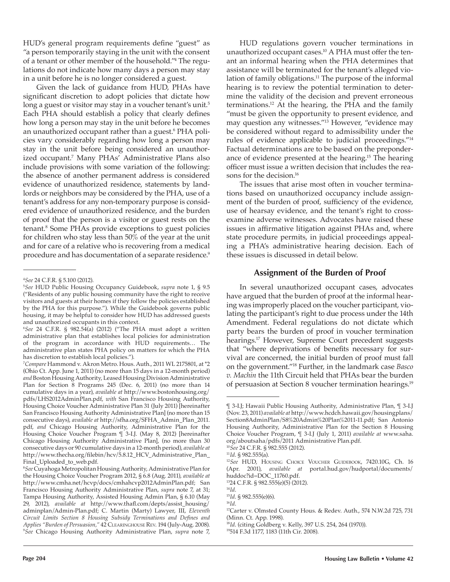HUD's general program requirements define "guest" as "a person temporarily staying in the unit with the consent of a tenant or other member of the household."<sup>4</sup> The regulations do not indicate how many days a person may stay in a unit before he is no longer considered a guest.

Given the lack of guidance from HUD, PHAs have significant discretion to adopt policies that dictate how long a guest or visitor may stay in a voucher tenant's unit.<sup>5</sup> Each PHA should establish a policy that clearly defines how long a person may stay in the unit before he becomes an unauthorized occupant rather than a guest.<sup>6</sup> PHA policies vary considerably regarding how long a person may stay in the unit before being considered an unauthorized occupant.<sup>7</sup> Many PHAs' Administrative Plans also include provisions with some variation of the following: the absence of another permanent address is considered evidence of unauthorized residence, statements by landlords or neighbors may be considered by the PHA, use of a tenant's address for any non-temporary purpose is considered evidence of unauthorized residence, and the burden of proof that the person is a visitor or guest rests on the tenant.<sup>8</sup> Some PHAs provide exceptions to guest policies for children who stay less than 50% of the year at the unit and for care of a relative who is recovering from a medical procedure and has documentation of a separate residence.<sup>9</sup>

HUD regulations govern voucher terminations in unauthorized occupant cases.10 A PHA must offer the tenant an informal hearing when the PHA determines that assistance will be terminated for the tenant's alleged violation of family obligations.<sup>11</sup> The purpose of the informal hearing is to review the potential termination to determine the validity of the decision and prevent erroneous terminations.12 At the hearing, the PHA and the family "must be given the opportunity to present evidence, and may question any witnesses."13 However, "evidence may be considered without regard to admissibility under the rules of evidence applicable to judicial proceedings."<sup>14</sup> Factual determinations are to be based on the preponderance of evidence presented at the hearing.<sup>15</sup> The hearing officer must issue a written decision that includes the reasons for the decision.<sup>16</sup>

The issues that arise most often in voucher terminations based on unauthorized occupancy include assignment of the burden of proof, sufficiency of the evidence, use of hearsay evidence, and the tenant's right to crossexamine adverse witnesses. Advocates have raised these issues in affirmative litigation against PHAs and, where state procedure permits, in judicial proceedings appealing a PHA's administrative hearing decision. Each of these issues is discussed in detail below.

# **Assignment of the Burden of Proof**

In several unauthorized occupant cases, advocates have argued that the burden of proof at the informal hearing was improperly placed on the voucher participant, violating the participant's right to due process under the 14th Amendment. Federal regulations do not dictate which party bears the burden of proof in voucher termination hearings.<sup>17</sup> However, Supreme Court precedent suggests that "where deprivations of benefits necessary for survival are concerned, the initial burden of proof must fall on the government."18 Further, in the landmark case *Basco v. Machin* the 11th Circuit held that PHAs bear the burden of persuasion at Section 8 voucher termination hearings.<sup>19</sup>

<sup>13</sup>24 C.F.R. § 982.555(e)(5) (2012).

<sup>4</sup> *See* 24 C.F.R. § 5.100 (2012).

<sup>5</sup> *See* HUD Public Housing Occupancy Guidebook, *supra* note 1, § 9.5 ("Residents of any public housing community have the right to receive visitors and guests at their homes if they follow the policies established by the PHA for this purpose."). While the Guidebook governs public housing, it may be helpful to consider how HUD has addressed guests and unauthorized occupants in this context.

<sup>6</sup> *See* 24 C.F.R. § 982.54(a) (2012) ("The PHA must adopt a written administrative plan that establishes local policies for administration of the program in accordance with HUD requirements… The administrative plan states PHA policy on matters for which the PHA has discretion to establish local policies.").

<sup>7</sup> *Compare* Hammond v. Akron Metro. Hous. Auth., 2011 WL 2175801, at \*2 (Ohio Ct. App. June 1, 2011) (no more than 15 days in a 12-month period) *and* Boston Housing Authority, Leased Housing Division Administrative Plan for Section 8 Programs 245 (Dec. 6, 2011) (no more than 14 cumulative days in a year), *available at* http://www.bostonhousing.org/ pdfs/LHS2012AdminPlan.pdf, *with* San Francisco Housing Authority, Housing Choice Voucher Administrative Plan 31 (July 2011) [hereinafter San Francisco Housing Authority Administrative Plan] (no more than 15 consecutive days), *available at* http://sfha.org/SFHA\_Admin\_Plan\_2011. pdf, *and* Chicago Housing Authority, Administrative Plan for the Housing Choice Voucher Program ¶ 3-I.J. (May 8, 2012) [hereinafter Chicago Housing Authority Administrative Plan], (no more than 30 consecutive days or 90 cumulative days in a 12-month period), *available at* http://www.thecha.org/filebin/hcv/5.8.12\_HCV\_Administrative\_Plan\_ Final\_Uploaded\_to\_web.pdf.

<sup>8</sup> *See* Cuyahoga Metropolitan Housing Authority, Administrative Plan for the Housing Choice Voucher Program 2012, § 6.8 (Aug. 2011), *available at*  http://www.cmha.net/hcvp/docs/cmhahcvp2012AdminPlan.pdf; San Francisco Housing Authority Administrative Plan, *supra* note 7, at 31; Tampa Housing Authority, Assisted Housing Admin Plan, § 6.10 (May 29, 2012), *available at* http://www.thafl.com/depts/assist\_housing/ adminplan/Admin-Plan.pdf; C. Martin (Marty) Lawyer, III, *Eleventh Circuit Limits Section 8 Housing Subsidy Terminations and Defines and Applies "Burden of Persuasion,"* 42 Clearinghouse Rev. 194 (July-Aug. 2008). 9 *See* Chicago Housing Authority Administrative Plan, *supra* note 7,

<sup>¶ 3-</sup>I.J; Hawaii Public Housing Authority, Administrative Plan, ¶ 3-I.J (Nov. 23, 2011) *available at* http://www.hcdch.hawaii.gov/housingplans/ Section8AdminPlan/S8%20Admin%20Plan%2011-11.pdf; San Antonio Housing Authority, Administrative Plan for the Section 8 Housing Choice Voucher Program, ¶ 3-I.J (July 1, 2011) *available at* www.saha. org/aboutsaha/pdfs/2011 Administrative Plan.pdf.

<sup>10</sup>*See* 24 C.F.R. § 982.555 (2012).

<sup>11</sup>*Id*. § 982.555(a).

<sup>12</sup>*See* HUD, Housing Choice Voucher Guidebook, 7420.10G, Ch. 16 (Apr. 2001), *available at* portal.hud.gov/hudportal/documents/ huddoc?id=DOC\_11760.pdf.

<sup>14</sup>*Id*.

<sup>15</sup>*Id*. § 982.555(e)(6). <sup>16</sup>*Id*.

<sup>&</sup>lt;sup>17</sup>Carter v. Olmsted County Hous. & Redev. Auth., 574 N.W.2d 725, 731 (Minn. Ct. App. 1998).

<sup>18</sup>*Id*. (citing Goldberg v. Kelly, 397 U.S. 254, 264 (1970)).

<sup>19</sup>514 F.3d 1177, 1183 (11th Cir. 2008).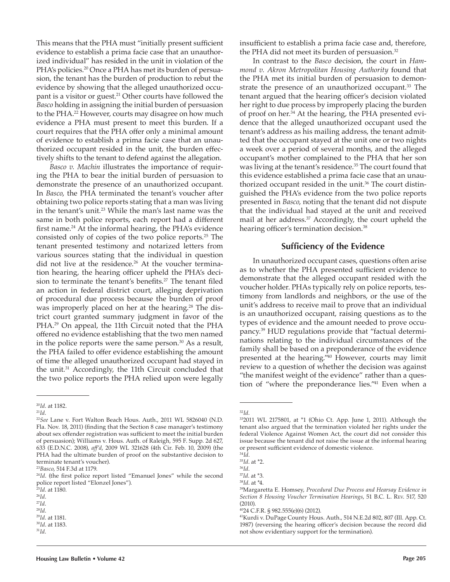This means that the PHA must "initially present sufficient evidence to establish a prima facie case that an unauthorized individual" has resided in the unit in violation of the PHA's policies.<sup>20</sup> Once a PHA has met its burden of persuasion, the tenant has the burden of production to rebut the evidence by showing that the alleged unauthorized occupant is a visitor or guest.<sup>21</sup> Other courts have followed the *Basco* holding in assigning the initial burden of persuasion to the PHA.22 However, courts may disagree on how much evidence a PHA must present to meet this burden. If a court requires that the PHA offer only a minimal amount of evidence to establish a prima facie case that an unauthorized occupant resided in the unit, the burden effectively shifts to the tenant to defend against the allegation.

*Basco v. Machin* illustrates the importance of requiring the PHA to bear the initial burden of persuasion to demonstrate the presence of an unauthorized occupant. In *Basco*, the PHA terminated the tenant's voucher after obtaining two police reports stating that a man was living in the tenant's unit.<sup>23</sup> While the man's last name was the same in both police reports, each report had a different first name.24 At the informal hearing, the PHA's evidence consisted only of copies of the two police reports.25 The tenant presented testimony and notarized letters from various sources stating that the individual in question did not live at the residence.<sup>26</sup> At the voucher termination hearing, the hearing officer upheld the PHA's decision to terminate the tenant's benefits.<sup>27</sup> The tenant filed an action in federal district court, alleging deprivation of procedural due process because the burden of proof was improperly placed on her at the hearing.<sup>28</sup> The district court granted summary judgment in favor of the PHA.29 On appeal, the 11th Circuit noted that the PHA offered no evidence establishing that the two men named in the police reports were the same person.<sup>30</sup> As a result, the PHA failed to offer evidence establishing the amount of time the alleged unauthorized occupant had stayed in the unit.31 Accordingly, the 11th Circuit concluded that the two police reports the PHA relied upon were legally

insufficient to establish a prima facie case and, therefore, the PHA did not meet its burden of persuasion.<sup>32</sup>

In contrast to the *Basco* decision, the court in *Hammond v. Akron Metropolitan Housing Authority* found that the PHA met its initial burden of persuasion to demonstrate the presence of an unauthorized occupant.<sup>33</sup> The tenant argued that the hearing officer's decision violated her right to due process by improperly placing the burden of proof on her.34 At the hearing, the PHA presented evidence that the alleged unauthorized occupant used the tenant's address as his mailing address, the tenant admitted that the occupant stayed at the unit one or two nights a week over a period of several months, and the alleged occupant's mother complained to the PHA that her son was living at the tenant's residence.<sup>35</sup> The court found that this evidence established a prima facie case that an unauthorized occupant resided in the unit.<sup>36</sup> The court distinguished the PHA's evidence from the two police reports presented in *Basco*, noting that the tenant did not dispute that the individual had stayed at the unit and received mail at her address.<sup>37</sup> Accordingly, the court upheld the hearing officer's termination decision.<sup>38</sup>

#### **Sufficiency of the Evidence**

In unauthorized occupant cases, questions often arise as to whether the PHA presented sufficient evidence to demonstrate that the alleged occupant resided with the voucher holder. PHAs typically rely on police reports, testimony from landlords and neighbors, or the use of the unit's address to receive mail to prove that an individual is an unauthorized occupant, raising questions as to the types of evidence and the amount needed to prove occupancy.39 HUD regulations provide that "factual determinations relating to the individual circumstances of the family shall be based on a preponderance of the evidence presented at the hearing."40 However, courts may limit review to a question of whether the decision was against "the manifest weight of the evidence" rather than a question of "where the preponderance lies."41 Even when a

<sup>20</sup>*Id*. at 1182.

 $^{21}\!Id.$ 

<sup>22</sup>*See* Lane v. Fort Walton Beach Hous. Auth., 2011 WL 5826040 (N.D. Fla. Nov. 18, 2011) (finding that the Section 8 case manager's testimony about sex offender registration was sufficient to meet the initial burden of persuasion); Williams v. Hous. Auth. of Raleigh, 595 F. Supp. 2d 627, 633 (E.D.N.C. 2008), *aff'd*, 2009 WL 321628 (4th Cir. Feb. 10, 2009) (the PHA had the ultimate burden of proof on the substantive decision to terminate tenant's voucher).

<sup>23</sup>*Basco*, 514 F.3d at 1179.

<sup>&</sup>lt;sup>24</sup>Id. (the first police report listed "Emanuel Jones" while the second police report listed "Elonzel Jones").

<sup>25</sup>*Id*. at 1180.

<sup>26</sup>*Id*.

<sup>27</sup>*Id*.

<sup>28</sup>*Id*.

<sup>29</sup>*Id*. at 1181. <sup>30</sup>*Id*. at 1183.

<sup>31</sup>*Id*.

<sup>32</sup>*Id*.

<sup>33</sup>2011 WL 2175801, at \*1 (Ohio Ct. App. June 1, 2011). Although the tenant also argued that the termination violated her rights under the federal Violence Against Women Act, the court did not consider this issue because the tenant did not raise the issue at the informal hearing or present sufficient evidence of domestic violence.

<sup>34</sup>*Id*.

<sup>35</sup>*Id*. at \*2.

<sup>36</sup>*Id*.

<sup>37</sup>*Id*. at \*3.

<sup>38</sup>*Id*. at \*4.

<sup>39</sup>Margaretta E. Homsey, *Procedural Due Process and Hearsay Evidence in Section 8 Housing Voucher Termination Hearings*, 51 B.C. L. Rev. 517, 520 (2010).

<sup>40</sup>24 C.F.R. § 982.555(e)(6) (2012).

<sup>41</sup>Kurdi v. DuPage County Hous. Auth., 514 N.E.2d 802, 807 (Ill. App. Ct. 1987) (reversing the hearing officer's decision because the record did not show evidentiary support for the termination).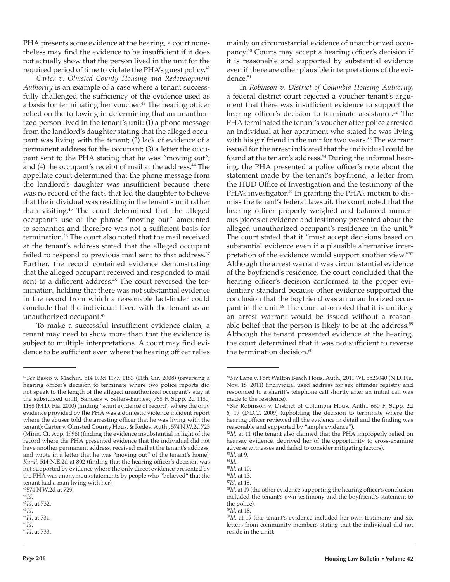PHA presents some evidence at the hearing, a court nonetheless may find the evidence to be insufficient if it does not actually show that the person lived in the unit for the required period of time to violate the PHA's guest policy.<sup>42</sup>

*Carter v. Olmsted County Housing and Redevelopment Authority* is an example of a case where a tenant successfully challenged the sufficiency of the evidence used as a basis for terminating her voucher.<sup>43</sup> The hearing officer relied on the following in determining that an unauthorized person lived in the tenant's unit: (1) a phone message from the landlord's daughter stating that the alleged occupant was living with the tenant; (2) lack of evidence of a permanent address for the occupant; (3) a letter the occupant sent to the PHA stating that he was "moving out"; and (4) the occupant's receipt of mail at the address.<sup>44</sup> The appellate court determined that the phone message from the landlord's daughter was insufficient because there was no record of the facts that led the daughter to believe that the individual was residing in the tenant's unit rather than visiting.45 The court determined that the alleged occupant's use of the phrase "moving out" amounted to semantics and therefore was not a sufficient basis for termination.46 The court also noted that the mail received at the tenant's address stated that the alleged occupant failed to respond to previous mail sent to that address.<sup>47</sup> Further, the record contained evidence demonstrating that the alleged occupant received and responded to mail sent to a different address.<sup>48</sup> The court reversed the termination, holding that there was not substantial evidence in the record from which a reasonable fact-finder could conclude that the individual lived with the tenant as an unauthorized occupant.<sup>49</sup>

To make a successful insufficient evidence claim, a tenant may need to show more than that the evidence is subject to multiple interpretations. A court may find evidence to be sufficient even where the hearing officer relies mainly on circumstantial evidence of unauthorized occupancy.<sup>50</sup> Courts may accept a hearing officer's decision if it is reasonable and supported by substantial evidence even if there are other plausible interpretations of the evidence.<sup>51</sup>

In *Robinson v. District of Columbia Housing Authority*, a federal district court rejected a voucher tenant's argument that there was insufficient evidence to support the hearing officer's decision to terminate assistance.<sup>52</sup> The PHA terminated the tenant's voucher after police arrested an individual at her apartment who stated he was living with his girlfriend in the unit for two years.<sup>53</sup> The warrant issued for the arrest indicated that the individual could be found at the tenant's address.<sup>54</sup> During the informal hearing, the PHA presented a police officer's note about the statement made by the tenant's boyfriend, a letter from the HUD Office of Investigation and the testimony of the PHA's investigator.<sup>55</sup> In granting the PHA's motion to dismiss the tenant's federal lawsuit, the court noted that the hearing officer properly weighed and balanced numerous pieces of evidence and testimony presented about the alleged unauthorized occupant's residence in the unit.<sup>56</sup> The court stated that it "must accept decisions based on substantial evidence even if a plausible alternative interpretation of the evidence would support another view."<sup>57</sup> Although the arrest warrant was circumstantial evidence of the boyfriend's residence, the court concluded that the hearing officer's decision conformed to the proper evidentiary standard because other evidence supported the conclusion that the boyfriend was an unauthorized occupant in the unit.58 The court also noted that it is unlikely an arrest warrant would be issued without a reasonable belief that the person is likely to be at the address.<sup>59</sup> Although the tenant presented evidence at the hearing, the court determined that it was not sufficient to reverse the termination decision.<sup>60</sup>

<sup>42</sup>*See* Basco v. Machin, 514 F.3d 1177, 1183 (11th Cir. 2008) (reversing a hearing officer's decision to terminate where two police reports did not speak to the length of the alleged unauthorized occupant's stay at the subsidized unit); Sanders v. Sellers-Earnest, 768 F. Supp. 2d 1180, 1188 (M.D. Fla. 2010) (finding "scant evidence of record" where the only evidence provided by the PHA was a domestic violence incident report where the abuser told the arresting officer that he was living with the tenant); Carter v. Olmsted County Hous. & Redev. Auth., 574 N.W.2d 725 (Minn. Ct. App. 1998) (finding the evidence insubstantial in light of the record where the PHA presented evidence that the individual did not have another permanent address, received mail at the tenant's address, and wrote in a letter that he was "moving out" of the tenant's home); *Kurdi*, 514 N.E.2d at 802 (finding that the hearing officer's decision was not supported by evidence where the only direct evidence presented by the PHA was anonymous statements by people who "believed" that the tenant had a man living with her).

<sup>43</sup>574 N.W.2d at 729. <sup>44</sup>*Id*.

<sup>45</sup>*Id*. at 732.

<sup>46</sup>*Id*.

<sup>47</sup>*Id*. at 731.

<sup>48</sup>*Id*. <sup>49</sup>*Id*. at 733.

<sup>50</sup>*See* Lane v. Fort Walton Beach Hous. Auth., 2011 WL 5826040 (N.D. Fla. Nov. 18, 2011) (individual used address for sex offender registry and responded to a sheriff's telephone call shortly after an initial call was made to the residence).

<sup>51</sup>*See* Robinson v. District of Columbia Hous. Auth., 660 F. Supp. 2d 6, 19 (D.D.C. 2009) (upholding the decision to terminate where the hearing officer reviewed all the evidence in detail and the finding was reasonable and supported by "ample evidence").

<sup>52</sup>*Id*. at 11 (the tenant also claimed that the PHA improperly relied on hearsay evidence, deprived her of the opportunity to cross-examine adverse witnesses and failed to consider mitigating factors).

<sup>53</sup>*Id*. at 9.

<sup>54</sup>*Id*.

<sup>55</sup>*Id*. at 10.

<sup>56</sup>*Id*. at 13.

<sup>57</sup>*Id*. at 18.

<sup>58</sup>*Id*. at 19 (the other evidence supporting the hearing officer's conclusion included the tenant's own testimony and the boyfriend's statement to the police).

<sup>59</sup>*Id*. at 18.

<sup>60</sup>*Id*. at 19 (the tenant's evidence included her own testimony and six letters from community members stating that the individual did not reside in the unit).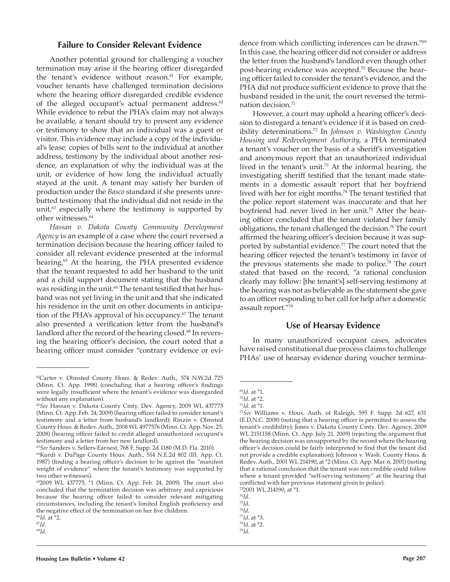### **Failure to Consider Relevant Evidence**

Another potential ground for challenging a voucher termination may arise if the hearing officer disregarded the tenant's evidence without reason.<sup>61</sup> For example, voucher tenants have challenged termination decisions where the hearing officer disregarded credible evidence of the alleged occupant's actual permanent address. $62$ While evidence to rebut the PHA's claim may not always be available, a tenant should try to present any evidence or testimony to show that an individual was a guest or visitor. This evidence may include a copy of the individual's lease, copies of bills sent to the individual at another address, testimony by the individual about another residence, an explanation of why the individual was at the unit, or evidence of how long the individual actually stayed at the unit. A tenant may satisfy her burden of production under the *Basco* standard if she presents unrebutted testimony that the individual did not reside in the unit, $63$  especially where the testimony is supported by other witnesses.<sup>64</sup>

*Hassan v. Dakota County Community Development Agency* is an example of a case where the court reversed a termination decision because the hearing officer failed to consider all relevant evidence presented at the informal hearing.<sup>65</sup> At the hearing, the PHA presented evidence that the tenant requested to add her husband to the unit and a child support document stating that the husband was residing in the unit.<sup>66</sup> The tenant testified that her husband was not yet living in the unit and that she indicated his residence in the unit on other documents in anticipation of the PHA's approval of his occupancy.<sup>67</sup> The tenant also presented a verification letter from the husband's landlord after the record of the hearing closed.<sup>68</sup> In reversing the hearing officer's decision, the court noted that a hearing officer must consider "contrary evidence or evi-

However, a court may uphold a hearing officer's decision to disregard a tenant's evidence if it is based on credibility determinations.72 In *Johnson v. Washington County Housing and Redevelopment Authority*, a PHA terminated a tenant's voucher on the basis of a sheriff's investigation and anonymous report that an unauthorized individual lived in the tenant's unit.<sup>73</sup> At the informal hearing, the investigating sheriff testified that the tenant made statements in a domestic assault report that her boyfriend lived with her for eight months.<sup>74</sup> The tenant testified that the police report statement was inaccurate and that her boyfriend had never lived in her unit.<sup>75</sup> After the hearing officer concluded that the tenant violated her family obligations, the tenant challenged the decision.<sup>76</sup> The court affirmed the hearing officer's decision because it was supported by substantial evidence.<sup>77</sup> The court noted that the hearing officer rejected the tenant's testimony in favor of the previous statements she made to police.78 The court stated that based on the record, "a rational conclusion clearly may follow: [the tenant's] self-serving testimony at the hearing was not as believable as the statement she gave to an officer responding to her call for help after a domestic assault report."<sup>79</sup>

#### **Use of Hearsay Evidence**

In many unauthorized occupant cases, advocates have raised constitutional due process claims to challenge PHAs' use of hearsay evidence during voucher termina-

<sup>73</sup>2001 WL 214190, at \*1.

<sup>74</sup>*Id*.

<sup>61</sup>Carter v. Olmsted County Hous. & Redev. Auth., 574 N.W.2d 725 (Minn. Ct. App. 1998) (concluding that a hearing officer's findings were legally insufficient where the tenant's evidence was disregarded without any explanation).

<sup>62</sup>*See* Hassan v. Dakota County Cmty. Dev. Agency, 2009 WL 437775 (Minn. Ct. App. Feb. 24, 2009) (hearing officer failed to consider tenant's testimony and a letter from husband's landlord); Rinzin v. Olmsted County Hous. & Redev. Auth., 2008 WL 4977576 (Minn. Ct. App. Nov. 25, 2008) (hearing officer failed to credit alleged unauthorized occupant's testimony and a letter from her new landlord).

<sup>63</sup>*See* Sanders v. Sellers-Earnest, 768 F. Supp. 2d 1180 (M.D. Fla. 2010).

<sup>64</sup>Kurdi v. DuPage County Hous. Auth., 514 N.E.2d 802 (Ill. App. Ct. 1987) (finding a hearing officer's decision to be against the "manifest weight of evidence" where the tenant's testimony was supported by two other witnesses).

<sup>65</sup>2009 WL 437775, \*1 (Minn. Ct. App. Feb. 24, 2009). The court also concluded that the termination decision was arbitrary and capricious because the hearing officer failed to consider relevant mitigating circumstances, including the tenant's limited English proficiency and the negative effect of the termination on her five children.

<sup>66</sup>*Id*. at \*2.

<sup>67</sup>*Id*. <sup>68</sup>*Id*.

dence from which conflicting inferences can be drawn."<sup>69</sup> In this case, the hearing officer did not consider or address the letter from the husband's landlord even though other post-hearing evidence was accepted.70 Because the hearing officer failed to consider the tenant's evidence, and the PHA did not produce sufficient evidence to prove that the husband resided in the unit, the court reversed the termination decision.<sup>71</sup>

<sup>69</sup>*Id*. at \*1.

<sup>70</sup>*Id*. at \*2.

<sup>71</sup>*Id*. at \*1.

<sup>72</sup>*See* Williams v. Hous. Auth. of Raleigh, 595 F. Supp. 2d 627, 631 (E.D.N.C. 2008) (noting that a hearing officer is permitted to assess the tenant's credibility); Jones v. Dakota County Cmty. Dev. Agency, 2009 WL 2151158 (Minn. Ct. App. July 21, 2009) (rejecting the argument that the hearing decision was unsupported by the record where the hearing officer's decision could be fairly interpreted to find that the tenant did not provide a credible explanation); Johnson v. Wash. County Hous. & Redev. Auth., 2001 WL 214190, at \*2 (Minn. Ct. App. Mar. 6, 2001) (noting that a rational conclusion that the tenant was not credible could follow where a tenant provided "self-serving testimony" at the hearing that conflicted with her previous statement given to police).

<sup>75</sup>*Id*. <sup>76</sup>*Id*.

<sup>77</sup>*Id*. at \*3.

<sup>78</sup>*Id*. at \*2.

<sup>79</sup>*Id*.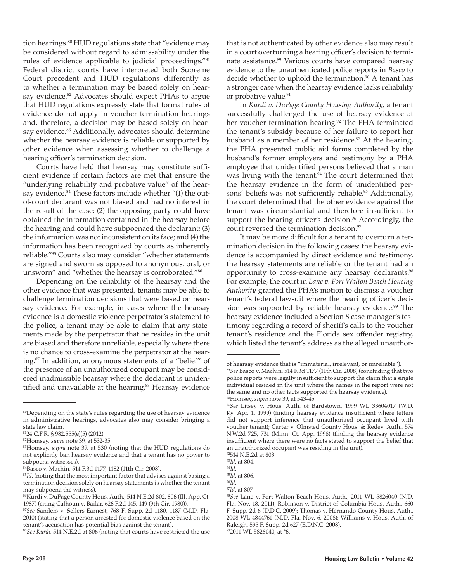tion hearings.<sup>80</sup> HUD regulations state that "evidence may be considered without regard to admissability under the rules of evidence applicable to judicial proceedings."<sup>81</sup> Federal district courts have interpreted both Supreme Court precedent and HUD regulations differently as to whether a termination may be based solely on hearsay evidence.<sup>82</sup> Advocates should expect PHAs to argue that HUD regulations expressly state that formal rules of evidence do not apply in voucher termination hearings and, therefore, a decision may be based solely on hearsay evidence.<sup>83</sup> Additionally, advocates should determine whether the hearsay evidence is reliable or supported by other evidence when assessing whether to challenge a hearing officer's termination decision.

Courts have held that hearsay may constitute sufficient evidence if certain factors are met that ensure the "underlying reliability and probative value" of the hearsay evidence.<sup>84</sup> These factors include whether "(1) the outof-court declarant was not biased and had no interest in the result of the case; (2) the opposing party could have obtained the information contained in the hearsay before the hearing and could have subpoenaed the declarant; (3) the information was not inconsistent on its face; and (4) the information has been recognized by courts as inherently reliable."85 Courts also may consider "whether statements are signed and sworn as opposed to anonymous, oral, or unsworn" and "whether the hearsay is corroborated."<sup>86</sup>

Depending on the reliability of the hearsay and the other evidence that was presented, tenants may be able to challenge termination decisions that were based on hearsay evidence. For example, in cases where the hearsay evidence is a domestic violence perpetrator's statement to the police, a tenant may be able to claim that any statements made by the perpetrator that he resides in the unit are biased and therefore unreliable, especially where there is no chance to cross-examine the perpetrator at the hearing.87 In addition, anonymous statements of a "belief" of the presence of an unauthorized occupant may be considered inadmissible hearsay where the declarant is unidentified and unavailable at the hearing.<sup>88</sup> Hearsay evidence

that is not authenticated by other evidence also may result in a court overturning a hearing officer's decision to terminate assistance.<sup>89</sup> Various courts have compared hearsay evidence to the unauthenticated police reports in *Basco* to decide whether to uphold the termination.<sup>90</sup> A tenant has a stronger case when the hearsay evidence lacks reliability or probative value.<sup>91</sup>

In *Kurdi v. DuPage County Housing Authority*, a tenant successfully challenged the use of hearsay evidence at her voucher termination hearing.<sup>92</sup> The PHA terminated the tenant's subsidy because of her failure to report her husband as a member of her residence.<sup>93</sup> At the hearing, the PHA presented public aid forms completed by the husband's former employers and testimony by a PHA employee that unidentified persons believed that a man was living with the tenant.<sup>94</sup> The court determined that the hearsay evidence in the form of unidentified persons' beliefs was not sufficiently reliable.<sup>95</sup> Additionally, the court determined that the other evidence against the tenant was circumstantial and therefore insufficient to support the hearing officer's decision.<sup>96</sup> Accordingly, the court reversed the termination decision.<sup>97</sup>

It may be more difficult for a tenant to overturn a termination decision in the following cases: the hearsay evidence is accompanied by direct evidence and testimony, the hearsay statements are reliable or the tenant had an opportunity to cross-examine any hearsay declarants.<sup>98</sup> For example, the court in *Lane v. Fort Walton Beach Housing Authority* granted the PHA's motion to dismiss a voucher tenant's federal lawsuit where the hearing officer's decision was supported by reliable hearsay evidence.<sup>99</sup> The hearsay evidence included a Section 8 case manager's testimony regarding a record of sheriff's calls to the voucher tenant's residence and the Florida sex offender registry, which listed the tenant's address as the alleged unauthor-

<sup>80</sup>Depending on the state's rules regarding the use of hearsay evidence in administrative hearings, advocates also may consider bringing a state law claim.

<sup>81</sup>24 C.F.R. § 982.555(e)(5) (2012).

<sup>82</sup>Homsey, *supra* note 39, at 532-35.

<sup>83</sup>Homsey, *supra* note 39, at 530 (noting that the HUD regulations do not explicitly ban hearsay evidence and that a tenant has no power to subpoena witnesses).

<sup>84</sup>Basco v. Machin, 514 F.3d 1177, 1182 (11th Cir. 2008).

<sup>&</sup>lt;sup>85</sup>Id. (noting that the most important factor that advises against basing a termination decision solely on hearsay statements is whether the tenant may subpoena the witness).

<sup>86</sup>Kurdi v. DuPage County Hous. Auth., 514 N.E.2d 802, 806 (Ill. App. Ct. 1987) (citing Calhoun v. Bailar, 626 F.2d 145, 149 (9th Cir. 1980)).

<sup>87</sup>*See* Sanders v. Sellers-Earnest, 768 F. Supp. 2d 1180, 1187 (M.D. Fla. 2010) (stating that a person arrested for domestic violence based on the tenant's accusation has potential bias against the tenant).

<sup>88</sup>*See Kurdi*, 514 N.E.2d at 806 (noting that courts have restricted the use

of hearsay evidence that is "immaterial, irrelevant, or unreliable").

<sup>89</sup>*See* Basco v. Machin, 514 F.3d 1177 (11th Cir. 2008) (concluding that two police reports were legally insufficient to support the claim that a single individual resided in the unit where the names in the report were not the same and no other facts supported the hearsay evidence).

<sup>90</sup>Homsey, *supra* note 39, at 543-45.

<sup>91</sup>*See* Litsey v. Hous. Auth. of Bardstown, 1999 WL 33604017 (W.D. Ky. Apr. 1, 1999) (finding hearsay evidence insufficient where letters did not support inference that unauthorized occupant lived with voucher tenant); Carter v. Olmsted County Hous. & Redev. Auth., 574 N.W.2d 725, 731 (Minn. Ct. App. 1998) (finding the hearsay evidence insufficient where there were no facts stated to support the belief that an unauthorized occupant was residing in the unit).

<sup>92514</sup> N.E.2d at 803.

<sup>93</sup>*Id*. at 804.

<sup>94</sup>*Id*.

<sup>95</sup>*Id*. at 806. <sup>96</sup>*Id*.

<sup>97</sup>*Id*. at 807.

<sup>98</sup>*See* Lane v. Fort Walton Beach Hous. Auth., 2011 WL 5826040 (N.D. Fla. Nov. 18, 2011); Robinson v. District of Columbia Hous. Auth., 660 F. Supp. 2d 6 (D.D.C. 2009); Thomas v. Hernando County Hous. Auth., 2008 WL 4844761 (M.D. Fla. Nov. 6, 2008); Williams v. Hous. Auth. of Raleigh, 595 F. Supp. 2d 627 (E.D.N.C. 2008).

<sup>99</sup>2011 WL 5826040, at \*6.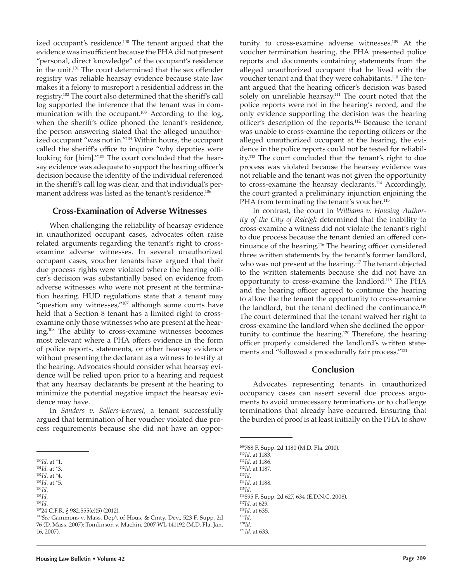ized occupant's residence.<sup>100</sup> The tenant argued that the evidence was insufficient because the PHA did not present "personal, direct knowledge" of the occupant's residence in the unit.<sup>101</sup> The court determined that the sex offender registry was reliable hearsay evidence because state law makes it a felony to misreport a residential address in the registry.<sup>102</sup> The court also determined that the sheriff's call log supported the inference that the tenant was in communication with the occupant.<sup>103</sup> According to the log, when the sheriff's office phoned the tenant's residence, the person answering stated that the alleged unauthorized occupant "was not in."104 Within hours, the occupant called the sheriff's office to inquire "why deputies were looking for [him]."105 The court concluded that the hearsay evidence was adequate to support the hearing officer's decision because the identity of the individual referenced in the sheriff's call log was clear, and that individual's permanent address was listed as the tenant's residence.<sup>106</sup>

# **Cross-Examination of Adverse Witnesses**

When challenging the reliability of hearsay evidence in unauthorized occupant cases, advocates often raise related arguments regarding the tenant's right to crossexamine adverse witnesses. In several unauthorized occupant cases, voucher tenants have argued that their due process rights were violated where the hearing officer's decision was substantially based on evidence from adverse witnesses who were not present at the termination hearing. HUD regulations state that a tenant may "question any witnesses,"<sup>107</sup> although some courts have held that a Section 8 tenant has a limited right to crossexamine only those witnesses who are present at the hearing.108 The ability to cross-examine witnesses becomes most relevant where a PHA offers evidence in the form of police reports, statements, or other hearsay evidence without presenting the declarant as a witness to testify at the hearing. Advocates should consider what hearsay evidence will be relied upon prior to a hearing and request that any hearsay declarants be present at the hearing to minimize the potential negative impact the hearsay evidence may have.

In *Sanders v. Sellers-Earnest*, a tenant successfully argued that termination of her voucher violated due process requirements because she did not have an oppor-

- <sup>102</sup>*Id*. at \*4.
- <sup>103</sup>*Id*. at \*5. <sup>104</sup>*Id.*
- 

<sup>105</sup>*Id.* <sup>106</sup>*Id*.

<sup>107</sup>24 C.F.R. § 982.555(e)(5) (2012).

tunity to cross-examine adverse witnesses.109 At the voucher termination hearing, the PHA presented police reports and documents containing statements from the alleged unauthorized occupant that he lived with the voucher tenant and that they were cohabitants.<sup>110</sup> The tenant argued that the hearing officer's decision was based solely on unreliable hearsay.<sup>111</sup> The court noted that the police reports were not in the hearing's record, and the only evidence supporting the decision was the hearing officer's description of the reports.112 Because the tenant was unable to cross-examine the reporting officers or the alleged unauthorized occupant at the hearing, the evidence in the police reports could not be tested for reliability.113 The court concluded that the tenant's right to due process was violated because the hearsay evidence was not reliable and the tenant was not given the opportunity to cross-examine the hearsay declarants.114 Accordingly, the court granted a preliminary injunction enjoining the PHA from terminating the tenant's voucher.<sup>115</sup>

In contrast, the court in *Williams v. Housing Authority of the City of Raleigh* determined that the inability to cross-examine a witness did not violate the tenant's right to due process because the tenant denied an offered continuance of the hearing.<sup>116</sup> The hearing officer considered three written statements by the tenant's former landlord, who was not present at the hearing.<sup>117</sup> The tenant objected to the written statements because she did not have an opportunity to cross-examine the landlord.118 The PHA and the hearing officer agreed to continue the hearing to allow the the tenant the opportunity to cross-examine the landlord, but the tenant declined the continuance.<sup>119</sup> The court determined that the tenant waived her right to cross-examine the landlord when she declined the opportunity to continue the hearing.<sup>120</sup> Therefore, the hearing officer properly considered the landlord's written statements and "followed a procedurally fair process."<sup>121</sup>

### **Conclusion**

Advocates representing tenants in unauthorized occupancy cases can assert several due process arguments to avoid unnecessary terminations or to challenge terminations that already have occurred. Ensuring that the burden of proof is at least initially on the PHA to show

*Id*. at 1183. *Id*. at 1186. *Id*. at 1187. <sup>113</sup>*Id*. *Id*. at 1188. <sup>115</sup>*Id.* 595 F. Supp. 2d 627, 634 (E.D.N.C. 2008).

<sup>109</sup>768 F. Supp. 2d 1180 (M.D. Fla. 2010).

<sup>117</sup>*Id*. at 629.

<sup>100</sup>*Id*. at \*1.

<sup>101</sup>*Id*. at \*3.

<sup>108</sup>*See* Gammons v. Mass. Dep't of Hous. & Cmty. Dev., 523 F. Supp. 2d 76 (D. Mass. 2007); Tomlinson v. Machin, 2007 WL 141192 (M.D. Fla. Jan. 16, 2007).

<sup>118</sup>*Id*. at 635.

<sup>119</sup>*Id*.

<sup>120</sup>*Id*. 121*Id*. at 633.